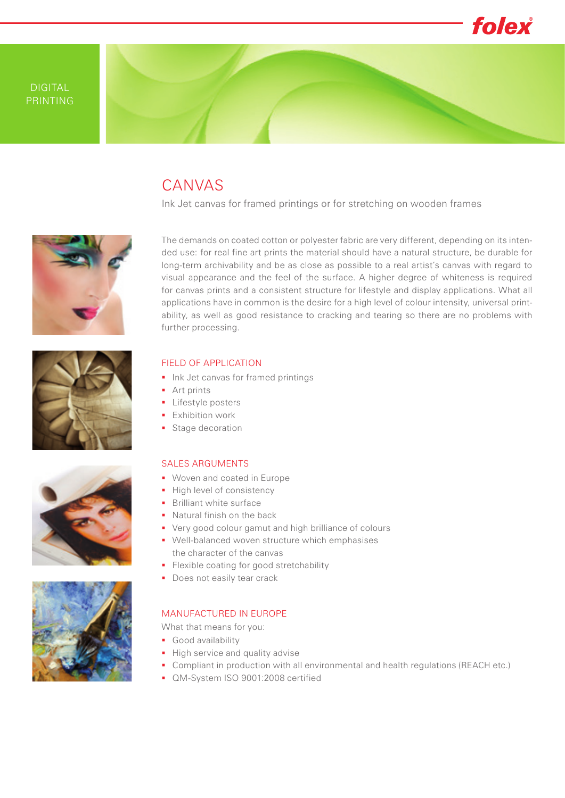

## CANVAS

Ink Jet canvas for framed printings or for stretching on wooden frames



The demands on coated cotton or polyester fabric are very different, depending on its intended use: for real fine art prints the material should have a natural structure, be durable for long-term archivability and be as close as possible to a real artist's canvas with regard to visual appearance and the feel of the surface. A higher degree of whiteness is required for canvas prints and a consistent structure for lifestyle and display applications. What all applications have in common is the desire for a high level of colour intensity, universal printability, as well as good resistance to cracking and tearing so there are no problems with further processing.







### FIELD OF APPLICATION

- **Ink Jet canvas for framed printings**
- **Art prints**
- **Lifestyle posters**
- **Exhibition work**
- Stage decoration

#### SALES ARGUMENTS

- **Woven and coated in Europe**
- High level of consistency
- **Brilliant white surface**
- **Natural finish on the back**
- Very good colour gamut and high brilliance of colours
- Well-balanced woven structure which emphasises the character of the canvas
- **Flexible coating for good stretchability**
- Does not easily tear crack

#### MANUFACTURED IN EUROPE

What that means for you:

- Good availability
- High service and quality advise
- Compliant in production with all environmental and health regulations (REACH etc.)
- **QM-System ISO 9001:2008 certified**